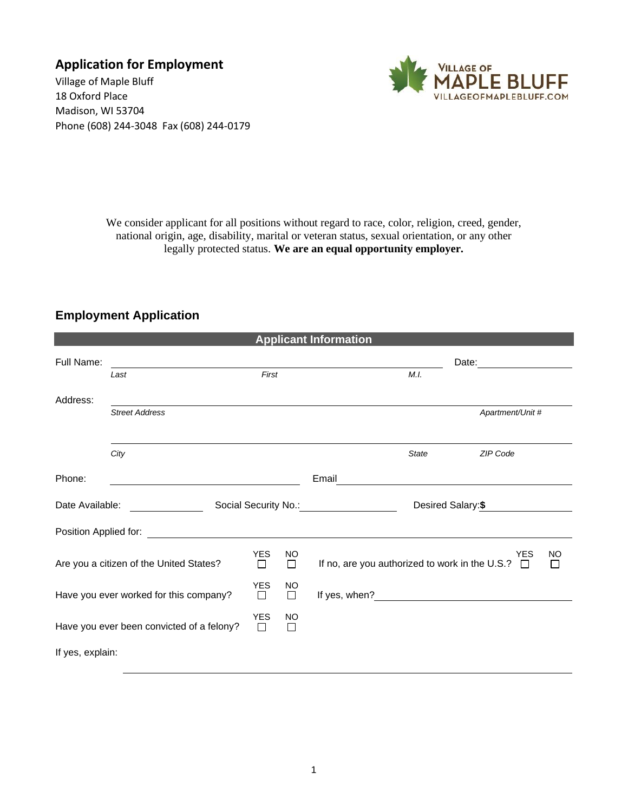**Application for Employment**

Village of Maple Bluff 18 Oxford Place Madison, WI 53704 Phone (608) 244-3048 Fax (608) 244-0179



We consider applicant for all positions without regard to race, color, religion, creed, gender, national origin, age, disability, marital or veteran status, sexual orientation, or any other legally protected status. **We are an equal opportunity employer.**

## **Employment Application**

| <b>Applicant Information</b>              |                                         |                 |                |                                                       |                                                                                                                                                                                                                                |  |
|-------------------------------------------|-----------------------------------------|-----------------|----------------|-------------------------------------------------------|--------------------------------------------------------------------------------------------------------------------------------------------------------------------------------------------------------------------------------|--|
| Full Name:                                |                                         |                 |                |                                                       | Date: the contract of the contract of the contract of the contract of the contract of the contract of the contract of the contract of the contract of the contract of the contract of the contract of the contract of the cont |  |
|                                           | Last                                    | First           |                | M.I.                                                  |                                                                                                                                                                                                                                |  |
| Address:                                  |                                         |                 |                |                                                       |                                                                                                                                                                                                                                |  |
|                                           | <b>Street Address</b>                   |                 |                |                                                       | Apartment/Unit #                                                                                                                                                                                                               |  |
|                                           |                                         |                 |                |                                                       |                                                                                                                                                                                                                                |  |
|                                           | City                                    |                 |                | <b>State</b>                                          | <b>ZIP Code</b>                                                                                                                                                                                                                |  |
| Phone:                                    |                                         |                 |                | Email                                                 |                                                                                                                                                                                                                                |  |
| Date Available:                           |                                         |                 |                | Social Security No.: Social Security No.:             | Desired Salary:\$                                                                                                                                                                                                              |  |
| Position Applied for:                     |                                         |                 |                |                                                       |                                                                                                                                                                                                                                |  |
|                                           | Are you a citizen of the United States? | <b>YES</b><br>П | <b>NO</b><br>П | If no, are you authorized to work in the U.S.? $\Box$ | <b>YES</b><br><b>NO</b><br>$\Box$                                                                                                                                                                                              |  |
| Have you ever worked for this company?    |                                         | YES<br>□        | <b>NO</b><br>□ | If yes, when?                                         | <u> 1980 - Jan Samuel Barbara, politik eta politik eta politik eta politik eta politik eta politik eta politik e</u>                                                                                                           |  |
| Have you ever been convicted of a felony? |                                         | <b>YES</b><br>□ | <b>NO</b><br>П |                                                       |                                                                                                                                                                                                                                |  |
| If yes, explain:                          |                                         |                 |                |                                                       |                                                                                                                                                                                                                                |  |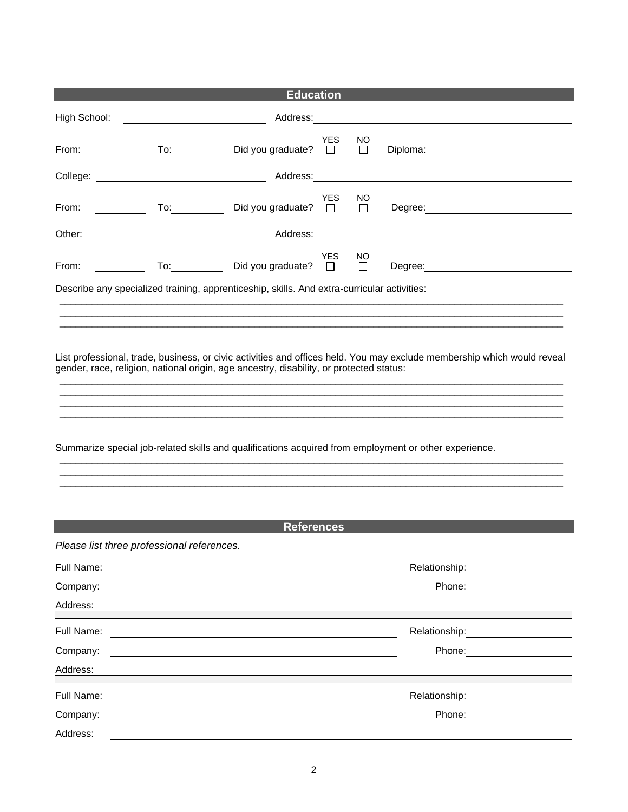| <b>Education</b>                                                                                                           |                                                                                                                                                                                                                                |                                                                                                                       |                      |               |                                                                                                                                                                                                                                |                                                           |
|----------------------------------------------------------------------------------------------------------------------------|--------------------------------------------------------------------------------------------------------------------------------------------------------------------------------------------------------------------------------|-----------------------------------------------------------------------------------------------------------------------|----------------------|---------------|--------------------------------------------------------------------------------------------------------------------------------------------------------------------------------------------------------------------------------|-----------------------------------------------------------|
| High School:                                                                                                               |                                                                                                                                                                                                                                | Address:                                                                                                              |                      |               | <u> 1989 - John Stein, Amerikaansk politiker (</u>                                                                                                                                                                             |                                                           |
| From:                                                                                                                      | To: the contract of the contract of the contract of the contract of the contract of the contract of the contract of the contract of the contract of the contract of the contract of the contract of the contract of the contra | Did you graduate?                                                                                                     | <b>YES</b><br>$\Box$ | NO<br>$\Box$  |                                                                                                                                                                                                                                |                                                           |
|                                                                                                                            |                                                                                                                                                                                                                                |                                                                                                                       |                      |               |                                                                                                                                                                                                                                |                                                           |
| From:                                                                                                                      | $\overline{\phantom{a}}$ To: $\overline{\phantom{a}}$                                                                                                                                                                          | Did you graduate?                                                                                                     | <b>YES</b><br>$\Box$ | NO.<br>$\Box$ | Degree: the contract of the contract of the contract of the contract of the contract of the contract of the contract of the contract of the contract of the contract of the contract of the contract of the contract of the co |                                                           |
| Other:                                                                                                                     |                                                                                                                                                                                                                                | Address:                                                                                                              |                      |               |                                                                                                                                                                                                                                |                                                           |
| From:                                                                                                                      |                                                                                                                                                                                                                                | To: Did you graduate?                                                                                                 | YES.<br>$\Box$       | NO.<br>П      |                                                                                                                                                                                                                                |                                                           |
|                                                                                                                            | Describe any specialized training, apprenticeship, skills. And extra-curricular activities:                                                                                                                                    |                                                                                                                       |                      |               |                                                                                                                                                                                                                                |                                                           |
|                                                                                                                            |                                                                                                                                                                                                                                |                                                                                                                       |                      |               |                                                                                                                                                                                                                                |                                                           |
| Summarize special job-related skills and qualifications acquired from employment or other experience.<br><b>References</b> |                                                                                                                                                                                                                                |                                                                                                                       |                      |               |                                                                                                                                                                                                                                |                                                           |
|                                                                                                                            | Please list three professional references.                                                                                                                                                                                     |                                                                                                                       |                      |               |                                                                                                                                                                                                                                |                                                           |
| Full Name:<br>Company:<br>Address:                                                                                         |                                                                                                                                                                                                                                |                                                                                                                       |                      |               |                                                                                                                                                                                                                                | Relationship: 2000<br>Phone: <u>_____________________</u> |
| Full Name:                                                                                                                 |                                                                                                                                                                                                                                |                                                                                                                       |                      |               |                                                                                                                                                                                                                                | Relationship: ___________________                         |
| Company:<br>Address:                                                                                                       |                                                                                                                                                                                                                                | <u> 1989 - Johann Stoff, deutscher Stoff, der Stoff, der Stoff, der Stoff, der Stoff, der Stoff, der Stoff, der S</u> |                      |               |                                                                                                                                                                                                                                | Phone: <u>______________________</u>                      |
| Full Name:                                                                                                                 |                                                                                                                                                                                                                                |                                                                                                                       |                      |               |                                                                                                                                                                                                                                |                                                           |
| Company:                                                                                                                   |                                                                                                                                                                                                                                |                                                                                                                       |                      |               |                                                                                                                                                                                                                                | Phone: <u>_______________________</u>                     |
| Address:                                                                                                                   |                                                                                                                                                                                                                                |                                                                                                                       |                      |               |                                                                                                                                                                                                                                |                                                           |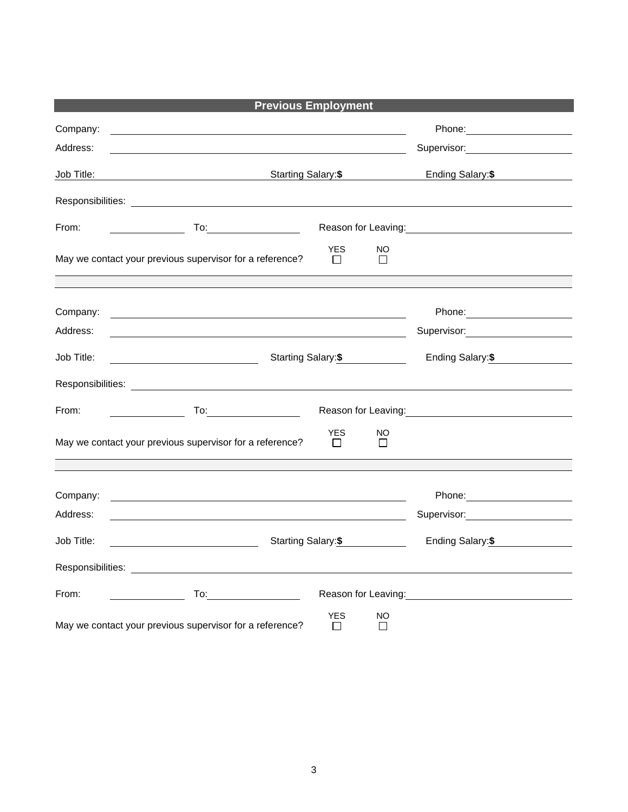|                      | <b>Previous Employment</b>                                                                                                                                                                                                     |                                                                                                                                                                                                                                                           |
|----------------------|--------------------------------------------------------------------------------------------------------------------------------------------------------------------------------------------------------------------------------|-----------------------------------------------------------------------------------------------------------------------------------------------------------------------------------------------------------------------------------------------------------|
| Company:<br>Address: | <u> 1980 - Johann Stoff, deutscher Stoff, der Stoff, der Stoff, der Stoff, der Stoff, der Stoff, der Stoff, der S</u>                                                                                                          | Phone: _______________________<br>Supervisor: Victor Contract Contract Contract Contract Contract Contract Contract Contract Contract Contract Co                                                                                                         |
| Job Title:           | Starting Salary:\$                                                                                                                                                                                                             | Ending Salary: \$<br><u>and the state of the state of the state of the state of the state of the state of the state of the state of the state of the state of the state of the state of the state of the state of the state of the state of the state</u> |
|                      |                                                                                                                                                                                                                                |                                                                                                                                                                                                                                                           |
| From:                | To:_____________________                                                                                                                                                                                                       | Reason for Leaving: Management Control of Reason for Leaving:                                                                                                                                                                                             |
|                      | <b>YES</b><br>NO<br>May we contact your previous supervisor for a reference?<br>$\Box$<br>$\Box$                                                                                                                               |                                                                                                                                                                                                                                                           |
|                      |                                                                                                                                                                                                                                |                                                                                                                                                                                                                                                           |
| Company:             | <u> 2000 - Andrea Andrew Maria (h. 1878).</u>                                                                                                                                                                                  |                                                                                                                                                                                                                                                           |
| Address:             |                                                                                                                                                                                                                                | Supervisor: _____________________                                                                                                                                                                                                                         |
| Job Title:           | Starting Salary:\$<br>Ending Salary: \$<br><u> 1989 - Johann Barnett, fransk politiker (</u>                                                                                                                                   |                                                                                                                                                                                                                                                           |
|                      |                                                                                                                                                                                                                                |                                                                                                                                                                                                                                                           |
| From:                |                                                                                                                                                                                                                                | Reason for Leaving:<br><u>Neason</u> for Leaving:                                                                                                                                                                                                         |
|                      | <b>YES</b><br>NO<br>May we contact your previous supervisor for a reference?<br>$\Box$<br>$\Box$                                                                                                                               |                                                                                                                                                                                                                                                           |
|                      |                                                                                                                                                                                                                                |                                                                                                                                                                                                                                                           |
| Company:             | and the control of the control of the control of the control of the control of the control of the control of the                                                                                                               |                                                                                                                                                                                                                                                           |
| Address:             |                                                                                                                                                                                                                                | Supervisor: William Supervisor:                                                                                                                                                                                                                           |
| Job Title:           | Starting Salary: \$<br><u> 1980 - Johann Barbara, martin a</u>                                                                                                                                                                 | Ending Salary: \$                                                                                                                                                                                                                                         |
|                      |                                                                                                                                                                                                                                |                                                                                                                                                                                                                                                           |
| From:                | To: the contract of the contract of the contract of the contract of the contract of the contract of the contract of the contract of the contract of the contract of the contract of the contract of the contract of the contra | Reason for Leaving: The above the set of the set of the set of the set of the set of the set of the set of the                                                                                                                                            |
|                      | <b>YES</b><br>NO<br>May we contact your previous supervisor for a reference?<br>П<br>П                                                                                                                                         |                                                                                                                                                                                                                                                           |